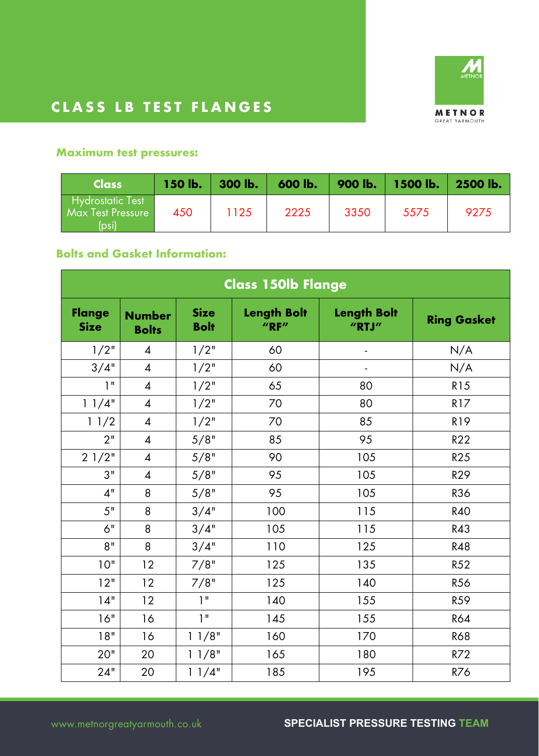

#### **Maximum test pressures:**

| <b>Class</b>                                         | $150$ lb. | 300 lb. | 600 lb. | 900 lb. | <b>1500 lb.</b> | 2500 lb. |
|------------------------------------------------------|-----------|---------|---------|---------|-----------------|----------|
| Hydrostatic Test<br><b>Max Test Pressure</b><br>(bsi | 450       | 1125    | 2225    | 3350    | 5575            | 9275     |

#### **Bolts and Gasket Information:**

| Class 150lb Flange           |                               |                            |                                |                             |                    |  |  |
|------------------------------|-------------------------------|----------------------------|--------------------------------|-----------------------------|--------------------|--|--|
| <b>Flange</b><br><b>Size</b> | <b>Number</b><br><b>Bolts</b> | <b>Size</b><br><b>Bolt</b> | <b>Length Bolt</b><br>$''$ RF" | <b>Length Bolt</b><br>"RTJ" | <b>Ring Gasket</b> |  |  |
| 1/2"                         | $\overline{4}$                | 1/2"                       | 60                             | $\overline{\phantom{a}}$    | N/A                |  |  |
| 3/4"                         | $\overline{\mathcal{A}}$      | $1/2$ "                    | 60                             | $\blacksquare$              | N/A                |  |  |
| 1 <sup>II</sup>              | $\overline{4}$                | 1/2"                       | 65                             | 80                          | <b>R15</b>         |  |  |
| 11/4"                        | $\overline{\mathcal{A}}$      | 1/2"                       | 70                             | 80                          | R17                |  |  |
| 11/2                         | $\boldsymbol{4}$              | 1/2"                       | 70                             | 85                          | R19                |  |  |
| 2 <sup>11</sup>              | $\overline{4}$                | 5/8"                       | 85                             | 95                          | R22                |  |  |
| 21/2"                        | $\overline{\mathcal{A}}$      | 5/8"                       | 90                             | 105                         | R25                |  |  |
| 3"                           | $\overline{\mathcal{A}}$      | 5/8"                       | 95                             | 105                         | <b>R29</b>         |  |  |
| 4"                           | 8                             | 5/8"                       | 95                             | 105                         | <b>R36</b>         |  |  |
| 5"                           | 8                             | 3/4"                       | 100                            | 115                         | <b>R40</b>         |  |  |
| 6"                           | 8                             | 3/4"                       | 105                            | 115                         | R43                |  |  |
| 8"                           | 8                             | 3/4"                       | 110                            | 125                         | <b>R48</b>         |  |  |
| 10"                          | 12                            | 7/8"                       | 125                            | 135                         | R52                |  |  |
| 12"                          | 12                            | 7/8"                       | 125                            | 140                         | R <sub>56</sub>    |  |  |
| 14"                          | 12                            | 1 <sup>11</sup>            | 140                            | 155                         | R59                |  |  |
| 16"                          | 16                            | 1 <sup>''</sup>            | 145                            | 155                         | <b>R64</b>         |  |  |
| 18"                          | 16                            | 11/8"                      | 160                            | 170                         | <b>R68</b>         |  |  |
| 20"                          | 20                            | 11/8"                      | 165                            | 180                         | R72                |  |  |
| 24"                          | 20                            | 11/4"                      | 185                            | 195                         | R76                |  |  |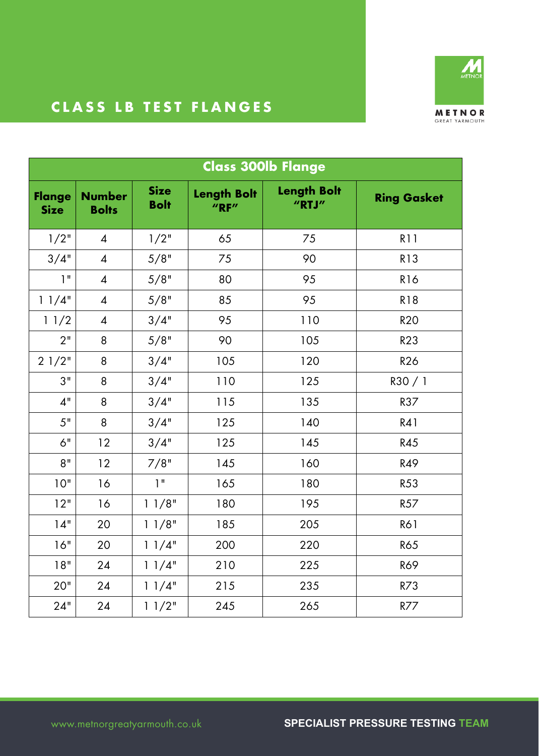

| <b>Class 300lb Flange</b>    |                               |                            |                                |                             |                    |  |
|------------------------------|-------------------------------|----------------------------|--------------------------------|-----------------------------|--------------------|--|
| <b>Flange</b><br><b>Size</b> | <b>Number</b><br><b>Bolts</b> | <b>Size</b><br><b>Bolt</b> | <b>Length Bolt</b><br>$''$ RF" | <b>Length Bolt</b><br>"RTJ" | <b>Ring Gasket</b> |  |
| 1/2"                         | $\overline{4}$                | $1/2$ "                    | 65                             | 75                          | <b>R11</b>         |  |
| 3/4"                         | $\overline{4}$                | 5/8"                       | 75                             | 90                          | <b>R13</b>         |  |
| 1"                           | $\overline{4}$                | 5/8"                       | 80                             | 95                          | <b>R16</b>         |  |
| 11/4"                        | $\overline{4}$                | 5/8"                       | 85                             | 95                          | <b>R18</b>         |  |
| 11/2                         | $\overline{4}$                | 3/4"                       | 95                             | 110                         | <b>R20</b>         |  |
| 2"                           | 8                             | 5/8"                       | 90                             | 105                         | R23                |  |
| 21/2"                        | 8                             | 3/4"                       | 105                            | 120                         | <b>R26</b>         |  |
| 3"                           | 8                             | 3/4"                       | 110                            | 125                         | R30/1              |  |
| 4"                           | 8                             | 3/4"                       | 115                            | 135                         | R37                |  |
| 5"                           | 8                             | 3/4"                       | 125                            | 140                         | R41                |  |
| 6"                           | 12                            | 3/4"                       | 125                            | 145                         | R45                |  |
| 8"                           | 12                            | 7/8"                       | 145                            | 160                         | R49                |  |
| 10"                          | 16                            | 1 <sup>11</sup>            | 165                            | 180                         | R53                |  |
| 12"                          | 16                            | 11/8"                      | 180                            | 195                         | R <sub>57</sub>    |  |
| 14"                          | 20                            | 11/8"                      | 185                            | 205                         | <b>R61</b>         |  |
| 16"                          | 20                            | 11/4"                      | 200                            | 220                         | <b>R65</b>         |  |
| 18"                          | 24                            | 11/4"                      | 210                            | 225                         | <b>R69</b>         |  |
| 20"                          | 24                            | 11/4"                      | 215                            | 235                         | R73                |  |
| 24"                          | 24                            | 11/2"                      | 245                            | 265                         | R77                |  |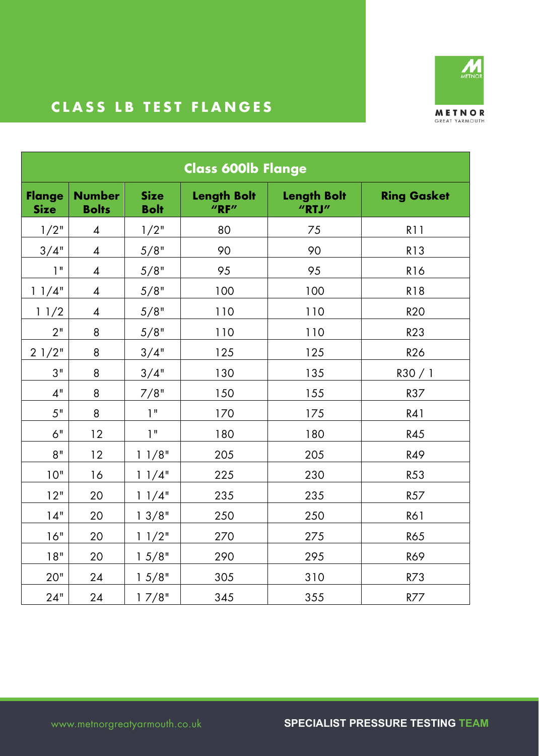

| <b>Class 600lb Flange</b>    |                               |                            |                                    |                             |                    |  |
|------------------------------|-------------------------------|----------------------------|------------------------------------|-----------------------------|--------------------|--|
| <b>Flange</b><br><b>Size</b> | <b>Number</b><br><b>Bolts</b> | <b>Size</b><br><b>Bolt</b> | <b>Length Bolt</b><br>$''$ RF $''$ | <b>Length Bolt</b><br>"RTJ" | <b>Ring Gasket</b> |  |
| 1/2"                         | $\overline{\mathcal{A}}$      | 1/2"                       | 80                                 | 75                          | <b>R11</b>         |  |
| 3/4"                         | $\boldsymbol{4}$              | 5/8"                       | 90                                 | 90                          | <b>R13</b>         |  |
| 1 <sup>II</sup>              | 4                             | 5/8"                       | 95                                 | 95                          | <b>R16</b>         |  |
| 11/4"                        | $\overline{\mathcal{A}}$      | 5/8"                       | 100                                | 100                         | <b>R18</b>         |  |
| 11/2                         | $\overline{\mathcal{A}}$      | 5/8"                       | 110                                | 110                         | <b>R20</b>         |  |
| 2"                           | 8                             | 5/8"                       | 110                                | 110                         | <b>R23</b>         |  |
| 21/2"                        | 8                             | 3/4"                       | 125                                | 125                         | <b>R26</b>         |  |
| 3"                           | 8                             | 3/4"                       | 130                                | 135                         | R30/1              |  |
| 4"                           | 8                             | 7/8"                       | 150                                | 155                         | R37                |  |
| 5"                           | 8                             | 1"                         | 170                                | 175                         | R41                |  |
| 6"                           | 12                            | 1"                         | 180                                | 180                         | R45                |  |
| 8"                           | 12                            | 11/8"                      | 205                                | 205                         | R49                |  |
| 10"                          | 16                            | 11/4"                      | 225                                | 230                         | R53                |  |
| 12"                          | 20                            | 11/4"                      | 235                                | 235                         | R <sub>57</sub>    |  |
| 14"                          | 20                            | 13/8"                      | 250                                | 250                         | <b>R61</b>         |  |
| 16"                          | 20                            | 11/2"                      | 270                                | 275                         | <b>R65</b>         |  |
| 18"                          | 20                            | 15/8"                      | 290                                | 295                         | <b>R69</b>         |  |
| 20"                          | 24                            | 15/8"                      | 305                                | 310                         | R73                |  |
| 24"                          | 24                            | 17/8"                      | 345                                | 355                         | R77                |  |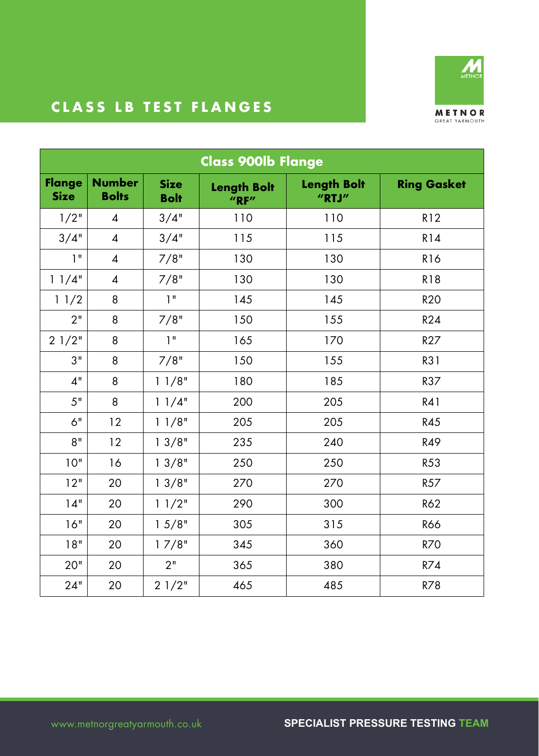

| <b>Class 900lb Flange</b>    |                               |                            |                                    |                                     |                    |  |  |
|------------------------------|-------------------------------|----------------------------|------------------------------------|-------------------------------------|--------------------|--|--|
| <b>Flange</b><br><b>Size</b> | <b>Number</b><br><b>Bolts</b> | <b>Size</b><br><b>Bolt</b> | <b>Length Bolt</b><br>$''$ RF $''$ | <b>Length Bolt</b><br>$''$ RTJ $''$ | <b>Ring Gasket</b> |  |  |
| 1/2"                         | $\overline{\mathcal{A}}$      | 3/4"                       | 110                                | 110                                 | R12                |  |  |
| 3/4"                         | $\overline{\mathcal{A}}$      | 3/4"                       | 115                                | 115                                 | R14                |  |  |
| 1"                           | $\overline{4}$                | 7/8"                       | 130                                | 130                                 | <b>R16</b>         |  |  |
| 11/4"                        | $\overline{4}$                | 7/8"                       | 130                                | 130                                 | <b>R18</b>         |  |  |
| 11/2                         | 8                             | 1"                         | 145                                | 145                                 | <b>R20</b>         |  |  |
| 2"                           | 8                             | 7/8"                       | 150                                | 155                                 | R24                |  |  |
| 21/2"                        | 8                             | 1"                         | 165                                | 170                                 | R27                |  |  |
| 3"                           | 8                             | 7/8"                       | 150                                | 155                                 | R31                |  |  |
| 4"                           | 8                             | 11/8"                      | 180                                | 185                                 | R37                |  |  |
| 5"                           | 8                             | 11/4"                      | 200                                | 205                                 | R41                |  |  |
| 6"                           | 12                            | 11/8"                      | 205                                | 205                                 | <b>R45</b>         |  |  |
| 8"                           | 12                            | 13/8"                      | 235                                | 240                                 | R49                |  |  |
| 10"                          | 16                            | 13/8"                      | 250                                | 250                                 | R53                |  |  |
| 12"                          | 20                            | 13/8"                      | 270                                | 270                                 | R57                |  |  |
| 14"                          | 20                            | 11/2"                      | 290                                | 300                                 | R62                |  |  |
| 16"                          | 20                            | 15/8"                      | 305                                | 315                                 | <b>R66</b>         |  |  |
| 18"                          | 20                            | 17/8"                      | 345                                | 360                                 | <b>R70</b>         |  |  |
| 20"                          | 20                            | 2"                         | 365                                | 380                                 | R74                |  |  |
| 24"                          | 20                            | 21/2"                      | 465                                | 485                                 | R78                |  |  |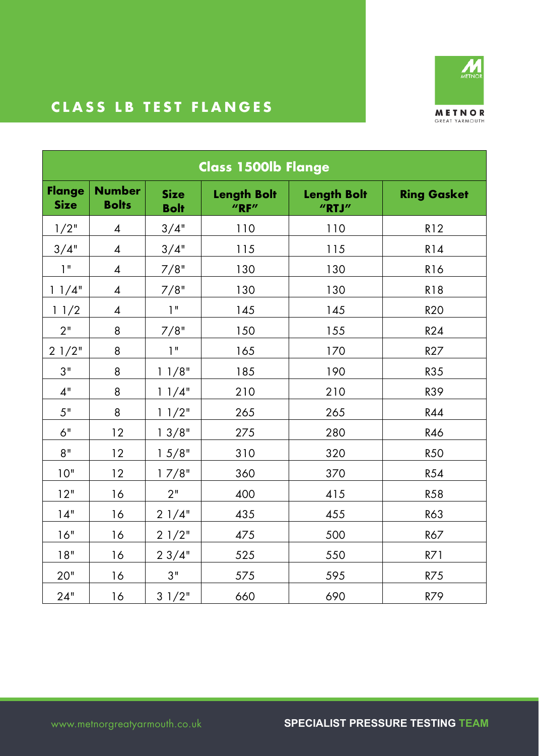

| <b>Class 1500lb Flange</b>   |                               |                            |                                    |                             |                    |  |  |
|------------------------------|-------------------------------|----------------------------|------------------------------------|-----------------------------|--------------------|--|--|
| <b>Flange</b><br><b>Size</b> | <b>Number</b><br><b>Bolts</b> | <b>Size</b><br><b>Bolt</b> | <b>Length Bolt</b><br>$''$ RF $''$ | <b>Length Bolt</b><br>"RTJ" | <b>Ring Gasket</b> |  |  |
| 1/2"                         | $\overline{4}$                | 3/4"                       | 110                                | 110                         | R12                |  |  |
| 3/4"                         | $\overline{\mathcal{A}}$      | 3/4"                       | 115                                | 115                         | R14                |  |  |
| 1"                           | $\overline{4}$                | 7/8"                       | 130                                | 130                         | <b>R16</b>         |  |  |
| 11/4"                        | $\overline{4}$                | 7/8"                       | 130                                | 130                         | <b>R18</b>         |  |  |
| 11/2                         | 4                             | 1"                         | 145                                | 145                         | <b>R20</b>         |  |  |
| 2"                           | 8                             | 7/8"                       | 150                                | 155                         | <b>R24</b>         |  |  |
| 21/2"                        | 8                             | 1"                         | 165                                | 170                         | R27                |  |  |
| 3"                           | 8                             | 11/8"                      | 185                                | 190                         | R35                |  |  |
| 4"                           | 8                             | 11/4"                      | 210                                | 210                         | <b>R39</b>         |  |  |
| 5"                           | 8                             | 11/2"                      | 265                                | 265                         | R44                |  |  |
| 6"                           | 12                            | 13/8"                      | 275                                | 280                         | R46                |  |  |
| 8"                           | 12                            | 15/8"                      | 310                                | 320                         | <b>R50</b>         |  |  |
| 10"                          | 12                            | 17/8"                      | 360                                | 370                         | R54                |  |  |
| 12"                          | 16                            | 2"                         | 400                                | 415                         | <b>R58</b>         |  |  |
| 14"                          | 16                            | 21/4"                      | 435                                | 455                         | <b>R63</b>         |  |  |
| 16"                          | 16                            | 21/2"                      | 475                                | 500                         | R67                |  |  |
| 18"                          | 16                            | 23/4"                      | 525                                | 550                         | R71                |  |  |
| 20"                          | 16                            | 3"                         | 575                                | 595                         | R75                |  |  |
| 24"                          | 16                            | 31/2"                      | 660                                | 690                         | R79                |  |  |